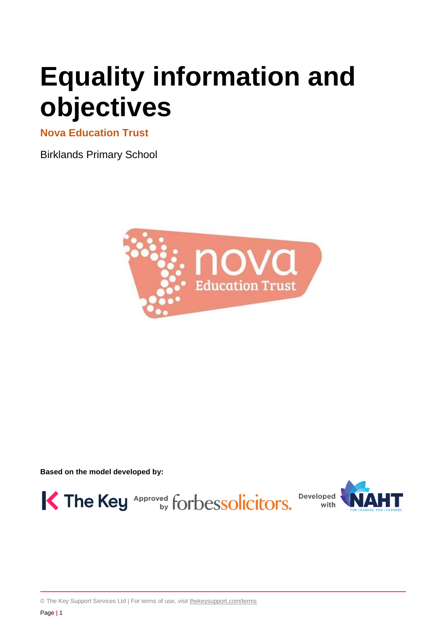# **Equality information and objectives**

**Nova Education Trust** 

Birklands Primary School



**Based on the model developed by:**



© The Key Support Services Ltd | For terms of use, visit [thekeysupport.com/terms](https://thekeysupport.com/terms-of-use)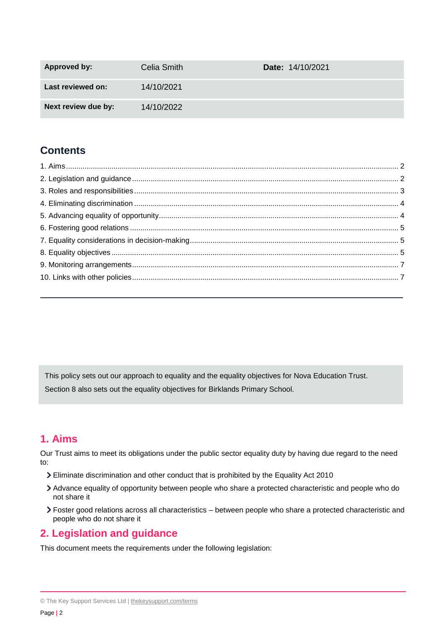| <b>Approved by:</b> | Celia Smith | <b>Date:</b> 14/10/2021 |
|---------------------|-------------|-------------------------|
| Last reviewed on:   | 14/10/2021  |                         |
| Next review due by: | 14/10/2022  |                         |

# **Contents**

This policy sets out our approach to equality and the equality objectives for Nova Education Trust. Section 8 also sets out the equality objectives for Birklands Primary School.

# <span id="page-1-0"></span>**1. Aims**

Our Trust aims to meet its obligations under the public sector equality duty by having due regard to the need to:

- Eliminate discrimination and other conduct that is prohibited by the Equality Act 2010
- Advance equality of opportunity between people who share a protected characteristic and people who do not share it
- Foster good relations across all characteristics between people who share a protected characteristic and people who do not share it

# <span id="page-1-1"></span>**2. Legislation and guidance**

This document meets the requirements under the following legislation:

<sup>©</sup> The Key Support Services Ltd | [thekeysupport.com/terms](https://thekeysupport.com/terms-of-use)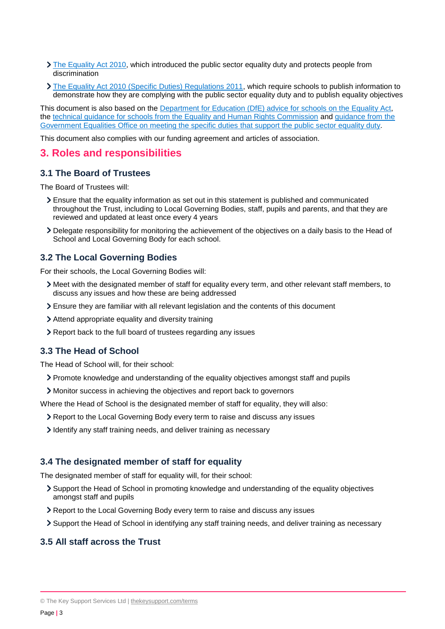- $\sum$  [The Equality Act 2010,](http://www.legislation.gov.uk/ukpga/2010/15/contents) which introduced the public sector equality duty and protects people from discrimination
- > [The Equality Act 2010 \(Specific Duties\) Regulations 2011,](http://www.legislation.gov.uk/uksi/2011/2260/contents/made) which require schools to publish information to demonstrate how they are complying with the public sector equality duty and to publish equality objectives

This document is also based on the [Department for Education \(DfE\) advice for schools on the Equality](https://www.gov.uk/government/publications/equality-act-2010-advice-for-schools) Act, the [technical guidance for schools from the Equality and Human Rights Commission](https://www.equalityhumanrights.com/en/publication-download/technical-guidance-schools-england) and [guidance from the](https://www.gov.uk/government/publications/public-sector-quick-start-guide-to-the-specific-duties)  [Government Equalities Office on meeting the specific duties that support the public sector equality duty.](https://www.gov.uk/government/publications/public-sector-quick-start-guide-to-the-specific-duties)

This document also complies with our funding agreement and articles of association.

## <span id="page-2-0"></span>**3. Roles and responsibilities**

### **3.1 The Board of Trustees**

The Board of Trustees will:

- Ensure that the equality information as set out in this statement is published and communicated throughout the Trust, including to Local Governing Bodies, staff, pupils and parents, and that they are reviewed and updated at least once every 4 years
- Delegate responsibility for monitoring the achievement of the objectives on a daily basis to the Head of School and Local Governing Body for each school.

## **3.2 The Local Governing Bodies**

For their schools, the Local Governing Bodies will:

- Meet with the designated member of staff for equality every term, and other relevant staff members, to discuss any issues and how these are being addressed
- Ensure they are familiar with all relevant legislation and the contents of this document
- Attend appropriate equality and diversity training
- Report back to the full board of trustees regarding any issues

#### **3.3 The Head of School**

The Head of School will, for their school:

Promote knowledge and understanding of the equality objectives amongst staff and pupils

Monitor success in achieving the objectives and report back to governors

Where the Head of School is the designated member of staff for equality, they will also:

- Report to the Local Governing Body every term to raise and discuss any issues
- I dentify any staff training needs, and deliver training as necessary

### **3.4 The designated member of staff for equality**

The designated member of staff for equality will, for their school:

- Support the Head of School in promoting knowledge and understanding of the equality objectives amongst staff and pupils
- Report to the Local Governing Body every term to raise and discuss any issues
- Support the Head of School in identifying any staff training needs, and deliver training as necessary

## **3.5 All staff across the Trust**

<sup>©</sup> The Key Support Services Ltd | [thekeysupport.com/terms](https://thekeysupport.com/terms-of-use)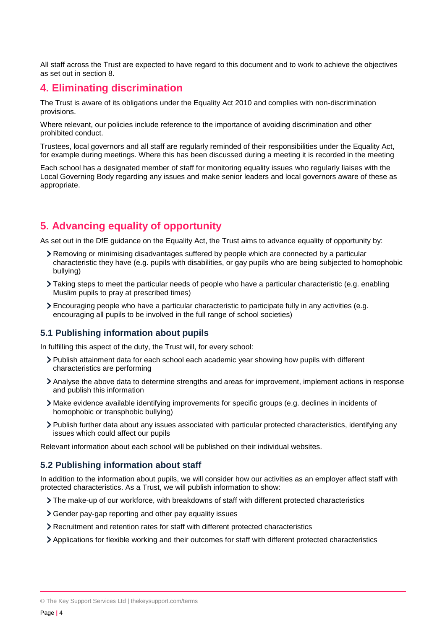All staff across the Trust are expected to have regard to this document and to work to achieve the objectives as set out in section 8.

## <span id="page-3-0"></span>**4. Eliminating discrimination**

The Trust is aware of its obligations under the Equality Act 2010 and complies with non-discrimination provisions.

Where relevant, our policies include reference to the importance of avoiding discrimination and other prohibited conduct.

Trustees, local governors and all staff are regularly reminded of their responsibilities under the Equality Act, for example during meetings. Where this has been discussed during a meeting it is recorded in the meeting

Each school has a designated member of staff for monitoring equality issues who regularly liaises with the Local Governing Body regarding any issues and make senior leaders and local governors aware of these as appropriate.

## <span id="page-3-1"></span>**5. Advancing equality of opportunity**

As set out in the DfE guidance on the Equality Act, the Trust aims to advance equality of opportunity by:

- Removing or minimising disadvantages suffered by people which are connected by a particular characteristic they have (e.g. pupils with disabilities, or gay pupils who are being subjected to homophobic bullying)
- Taking steps to meet the particular needs of people who have a particular characteristic (e.g. enabling Muslim pupils to pray at prescribed times)
- Encouraging people who have a particular characteristic to participate fully in any activities (e.g. encouraging all pupils to be involved in the full range of school societies)

## **5.1 Publishing information about pupils**

In fulfilling this aspect of the duty, the Trust will, for every school:

- Publish attainment data for each school each academic year showing how pupils with different characteristics are performing
- Analyse the above data to determine strengths and areas for improvement, implement actions in response and publish this information
- Make evidence available identifying improvements for specific groups (e.g. declines in incidents of homophobic or transphobic bullying)
- Publish further data about any issues associated with particular protected characteristics, identifying any issues which could affect our pupils

Relevant information about each school will be published on their individual websites.

## **5.2 Publishing information about staff**

In addition to the information about pupils, we will consider how our activities as an employer affect staff with protected characteristics. As a Trust, we will publish information to show:

- The make-up of our workforce, with breakdowns of staff with different protected characteristics
- Gender pay-gap reporting and other pay equality issues
- Recruitment and retention rates for staff with different protected characteristics
- Applications for flexible working and their outcomes for staff with different protected characteristics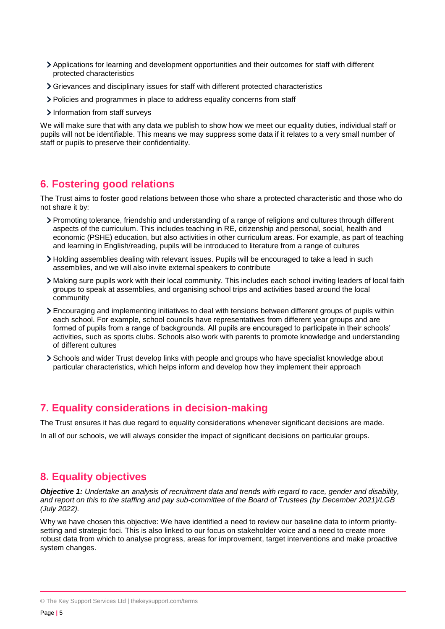- Applications for learning and development opportunities and their outcomes for staff with different protected characteristics
- Grievances and disciplinary issues for staff with different protected characteristics
- Policies and programmes in place to address equality concerns from staff
- Information from staff surveys

We will make sure that with any data we publish to show how we meet our equality duties, individual staff or pupils will not be identifiable. This means we may suppress some data if it relates to a very small number of staff or pupils to preserve their confidentiality.

# <span id="page-4-0"></span>**6. Fostering good relations**

The Trust aims to foster good relations between those who share a protected characteristic and those who do not share it by:

- Promoting tolerance, friendship and understanding of a range of religions and cultures through different aspects of the curriculum. This includes teaching in RE, citizenship and personal, social, health and economic (PSHE) education, but also activities in other curriculum areas. For example, as part of teaching and learning in English/reading, pupils will be introduced to literature from a range of cultures
- Holding assemblies dealing with relevant issues. Pupils will be encouraged to take a lead in such assemblies, and we will also invite external speakers to contribute
- Making sure pupils work with their local community. This includes each school inviting leaders of local faith groups to speak at assemblies, and organising school trips and activities based around the local community
- Encouraging and implementing initiatives to deal with tensions between different groups of pupils within each school. For example, school councils have representatives from different year groups and are formed of pupils from a range of backgrounds. All pupils are encouraged to participate in their schools' activities, such as sports clubs. Schools also work with parents to promote knowledge and understanding of different cultures
- Schools and wider Trust develop links with people and groups who have specialist knowledge about particular characteristics, which helps inform and develop how they implement their approach

# <span id="page-4-1"></span>**7. Equality considerations in decision-making**

The Trust ensures it has due regard to equality considerations whenever significant decisions are made.

In all of our schools, we will always consider the impact of significant decisions on particular groups.

## <span id="page-4-2"></span>**8. Equality objectives**

*Objective 1: Undertake an analysis of recruitment data and trends with regard to race, gender and disability, and report on this to the staffing and pay sub-committee of the Board of Trustees (by December 2021)/LGB (July 2022).*

Why we have chosen this objective: We have identified a need to review our baseline data to inform prioritysetting and strategic foci. This is also linked to our focus on stakeholder voice and a need to create more robust data from which to analyse progress, areas for improvement, target interventions and make proactive system changes.

<sup>©</sup> The Key Support Services Ltd | [thekeysupport.com/terms](https://thekeysupport.com/terms-of-use)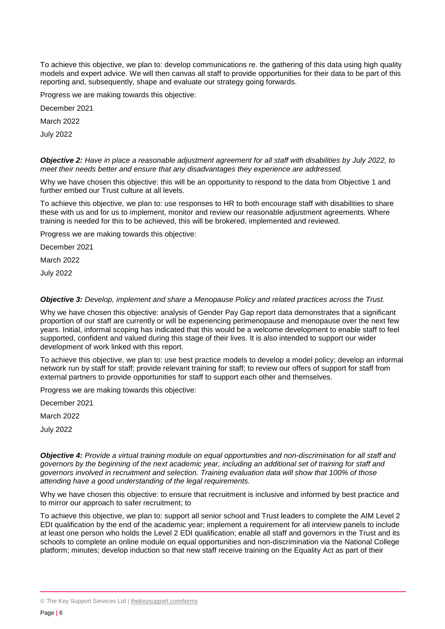To achieve this objective, we plan to: develop communications re. the gathering of this data using high quality models and expert advice. We will then canvas all staff to provide opportunities for their data to be part of this reporting and, subsequently, shape and evaluate our strategy going forwards.

Progress we are making towards this objective:

December 2021

March 2022

July 2022

*Objective 2: Have in place a reasonable adjustment agreement for all staff with disabilities by July 2022, to meet their needs better and ensure that any disadvantages they experience are addressed.*

Why we have chosen this objective: this will be an opportunity to respond to the data from Objective 1 and further embed our Trust culture at all levels.

To achieve this objective, we plan to: use responses to HR to both encourage staff with disabilities to share these with us and for us to implement, monitor and review our reasonable adjustment agreements. Where training is needed for this to be achieved, this will be brokered, implemented and reviewed.

Progress we are making towards this objective:

December 2021

March 2022

July 2022

#### *Objective 3: Develop, implement and share a Menopause Policy and related practices across the Trust.*

Why we have chosen this objective: analysis of Gender Pay Gap report data demonstrates that a significant proportion of our staff are currently or will be experiencing perimenopause and menopause over the next few years. Initial, informal scoping has indicated that this would be a welcome development to enable staff to feel supported, confident and valued during this stage of their lives. It is also intended to support our wider development of work linked with this report.

To achieve this objective, we plan to: use best practice models to develop a model policy; develop an informal network run by staff for staff; provide relevant training for staff; to review our offers of support for staff from external partners to provide opportunities for staff to support each other and themselves.

Progress we are making towards this objective:

December 2021

March 2022

July 2022

*Objective 4: Provide a virtual training module on equal opportunities and non-discrimination for all staff and governors by the beginning of the next academic year, including an additional set of training for staff and governors involved in recruitment and selection. Training evaluation data will show that 100% of those attending have a good understanding of the legal requirements.*

Why we have chosen this objective: to ensure that recruitment is inclusive and informed by best practice and to mirror our approach to safer recruitment; to

To achieve this objective, we plan to: support all senior school and Trust leaders to complete the AIM Level 2 EDI qualification by the end of the academic year; implement a requirement for all interview panels to include at least one person who holds the Level 2 EDI qualification; enable all staff and governors in the Trust and its schools to complete an online module on equal opportunities and non-discrimination via the National College platform; minutes; develop induction so that new staff receive training on the Equality Act as part of their

<sup>©</sup> The Key Support Services Ltd | [thekeysupport.com/terms](https://thekeysupport.com/terms-of-use)